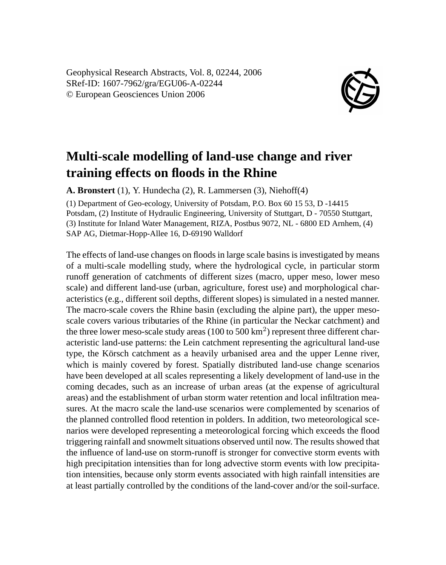Geophysical Research Abstracts, Vol. 8, 02244, 2006 SRef-ID: 1607-7962/gra/EGU06-A-02244 © European Geosciences Union 2006



## **Multi-scale modelling of land-use change and river training effects on floods in the Rhine**

**A. Bronstert** (1), Y. Hundecha (2), R. Lammersen (3), Niehoff(4)

(1) Department of Geo-ecology, University of Potsdam, P.O. Box 60 15 53, D -14415 Potsdam, (2) Institute of Hydraulic Engineering, University of Stuttgart, D - 70550 Stuttgart, (3) Institute for Inland Water Management, RIZA, Postbus 9072, NL - 6800 ED Arnhem, (4) SAP AG, Dietmar-Hopp-Allee 16, D-69190 Walldorf

The effects of land-use changes on floods in large scale basins is investigated by means of a multi-scale modelling study, where the hydrological cycle, in particular storm runoff generation of catchments of different sizes (macro, upper meso, lower meso scale) and different land-use (urban, agriculture, forest use) and morphological characteristics (e.g., different soil depths, different slopes) is simulated in a nested manner. The macro-scale covers the Rhine basin (excluding the alpine part), the upper mesoscale covers various tributaries of the Rhine (in particular the Neckar catchment) and the three lower meso-scale study areas  $(100 \text{ to } 500 \text{ km}^2)$  represent three different characteristic land-use patterns: the Lein catchment representing the agricultural land-use type, the Körsch catchment as a heavily urbanised area and the upper Lenne river, which is mainly covered by forest. Spatially distributed land-use change scenarios have been developed at all scales representing a likely development of land-use in the coming decades, such as an increase of urban areas (at the expense of agricultural areas) and the establishment of urban storm water retention and local infiltration measures. At the macro scale the land-use scenarios were complemented by scenarios of the planned controlled flood retention in polders. In addition, two meteorological scenarios were developed representing a meteorological forcing which exceeds the flood triggering rainfall and snowmelt situations observed until now. The results showed that the influence of land-use on storm-runoff is stronger for convective storm events with high precipitation intensities than for long advective storm events with low precipitation intensities, because only storm events associated with high rainfall intensities are at least partially controlled by the conditions of the land-cover and/or the soil-surface.